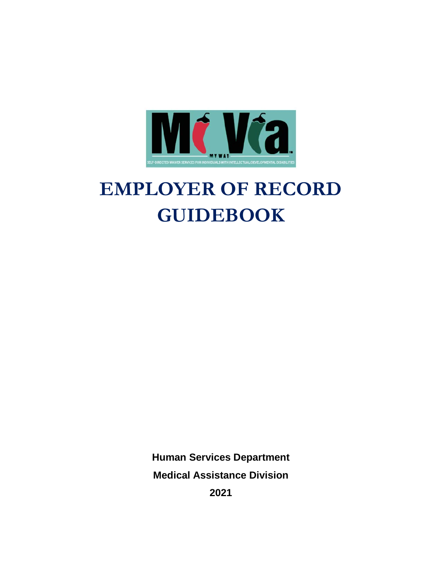

# **EMPLOYER OF RECORD GUIDEBOOK**

**Human Services Department Medical Assistance Division**

**2021**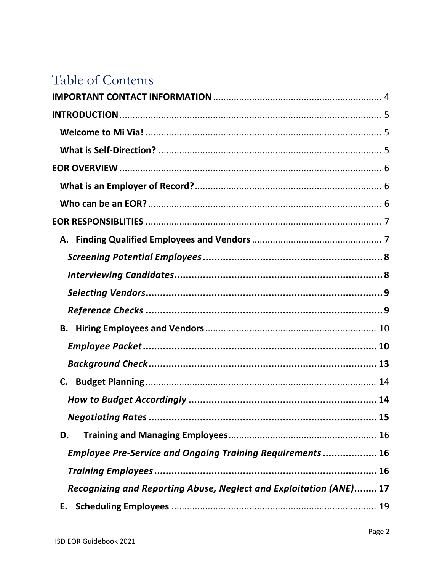# Table of Contents

| <b>B.</b>                                                          |  |
|--------------------------------------------------------------------|--|
|                                                                    |  |
|                                                                    |  |
|                                                                    |  |
|                                                                    |  |
|                                                                    |  |
| D.                                                                 |  |
| <b>Employee Pre-Service and Ongoing Training Requirements  16</b>  |  |
|                                                                    |  |
| Recognizing and Reporting Abuse, Neglect and Exploitation (ANE) 17 |  |
| Е.                                                                 |  |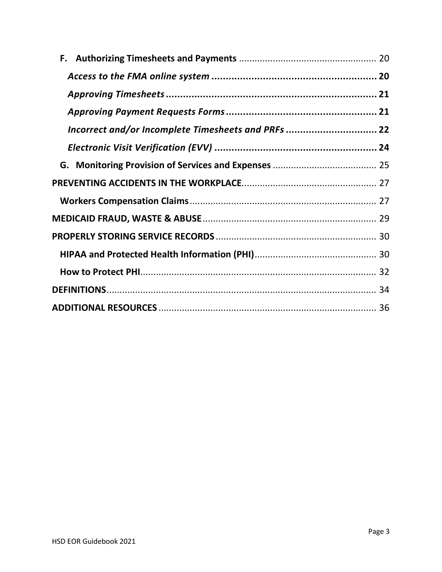| Incorrect and/or Incomplete Timesheets and PRFs  22 |  |
|-----------------------------------------------------|--|
|                                                     |  |
|                                                     |  |
|                                                     |  |
|                                                     |  |
|                                                     |  |
|                                                     |  |
|                                                     |  |
|                                                     |  |
|                                                     |  |
|                                                     |  |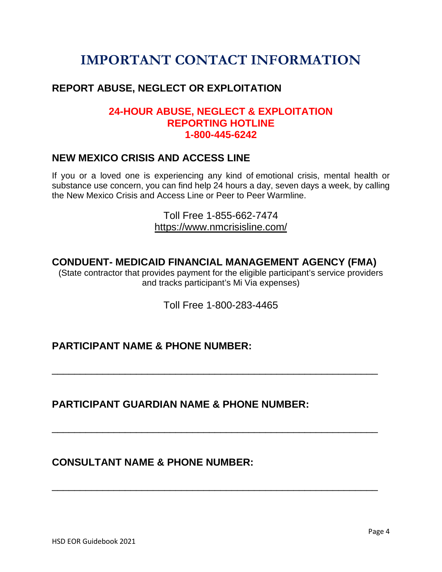# <span id="page-3-0"></span>**IMPORTANT CONTACT INFORMATION**

### **REPORT ABUSE, NEGLECT OR EXPLOITATION**

### **24-HOUR ABUSE, NEGLECT & EXPLOITATION REPORTING HOTLINE 1-800-445-6242**

### **NEW MEXICO CRISIS AND ACCESS LINE**

If you or a loved one is experiencing any kind of emotional crisis, mental health or substance use concern, you can find help 24 hours a day, seven days a week, by calling the New Mexico Crisis and Access Line or Peer to Peer Warmline.

> Toll Free 1-855-662-7474 <https://www.nmcrisisline.com/>

### **CONDUENT- MEDICAID FINANCIAL MANAGEMENT AGENCY (FMA)**

(State contractor that provides payment for the eligible participant's service providers and tracks participant's Mi Via expenses)

Toll Free 1-800-283-4465

\_\_\_\_\_\_\_\_\_\_\_\_\_\_\_\_\_\_\_\_\_\_\_\_\_\_\_\_\_\_\_\_\_\_\_\_\_\_\_\_\_\_\_\_\_\_\_\_\_\_\_\_\_\_\_\_\_\_

\_\_\_\_\_\_\_\_\_\_\_\_\_\_\_\_\_\_\_\_\_\_\_\_\_\_\_\_\_\_\_\_\_\_\_\_\_\_\_\_\_\_\_\_\_\_\_\_\_\_\_\_\_\_\_\_\_\_

\_\_\_\_\_\_\_\_\_\_\_\_\_\_\_\_\_\_\_\_\_\_\_\_\_\_\_\_\_\_\_\_\_\_\_\_\_\_\_\_\_\_\_\_\_\_\_\_\_\_\_\_\_\_\_\_\_\_

### **PARTICIPANT NAME & PHONE NUMBER:**

### **PARTICIPANT GUARDIAN NAME & PHONE NUMBER:**

### **CONSULTANT NAME & PHONE NUMBER:**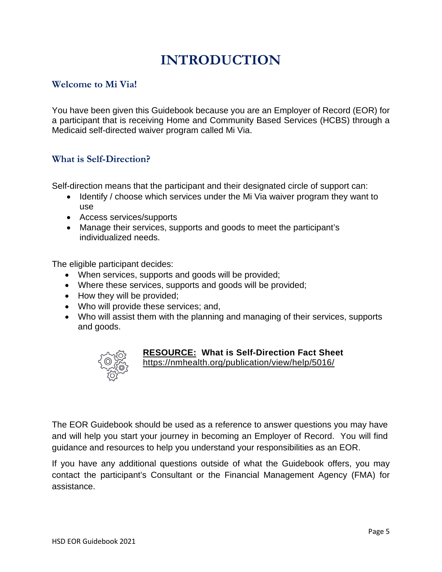# **INTRODUCTION**

### <span id="page-4-1"></span><span id="page-4-0"></span>**Welcome to Mi Via!**

You have been given this Guidebook because you are an Employer of Record (EOR) for a participant that is receiving Home and Community Based Services (HCBS) through a Medicaid self-directed waiver program called Mi Via.

#### <span id="page-4-2"></span>**What is Self-Direction?**

Self-direction means that the participant and their designated circle of support can:

- Identify / choose which services under the Mi Via waiver program they want to use
- Access services/supports
- Manage their services, supports and goods to meet the participant's individualized needs.

The eligible participant decides:

- When services, supports and goods will be provided;
- Where these services, supports and goods will be provided;
- How they will be provided;
- Who will provide these services; and,
- Who will assist them with the planning and managing of their services, supports and goods.



#### **RESOURCE: What is Self-Direction Fact Sheet**

<https://nmhealth.org/publication/view/help/5016/>

The EOR Guidebook should be used as a reference to answer questions you may have and will help you start your journey in becoming an Employer of Record. You will find guidance and resources to help you understand your responsibilities as an EOR.

If you have any additional questions outside of what the Guidebook offers, you may contact the participant's Consultant or the Financial Management Agency (FMA) for assistance.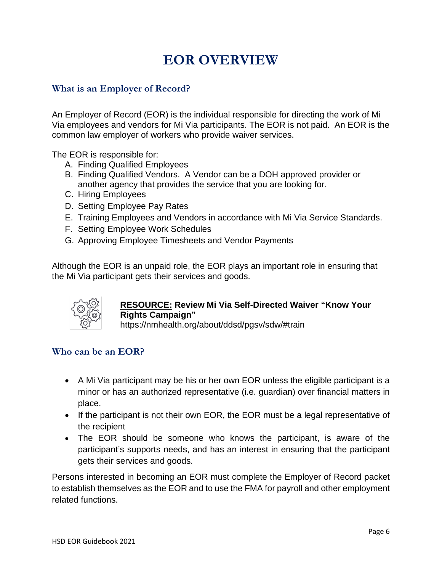# **EOR OVERVIEW**

#### <span id="page-5-1"></span><span id="page-5-0"></span>**What is an Employer of Record?**

An Employer of Record (EOR) is the individual responsible for directing the work of Mi Via employees and vendors for Mi Via participants. The EOR is not paid. An EOR is the common law employer of workers who provide waiver services.

The EOR is responsible for:

- A. Finding Qualified Employees
- B. Finding Qualified Vendors. A Vendor can be a DOH approved provider or another agency that provides the service that you are looking for.
- C. Hiring Employees
- D. Setting Employee Pay Rates
- E. Training Employees and Vendors in accordance with Mi Via Service Standards.
- F. Setting Employee Work Schedules
- G. Approving Employee Timesheets and Vendor Payments

Although the EOR is an unpaid role, the EOR plays an important role in ensuring that the Mi Via participant gets their services and goods.



# **RESOURCE: Review Mi Via Self-Directed Waiver "Know Your Rights Campaign"**

<https://nmhealth.org/about/ddsd/pgsv/sdw/#train>

#### <span id="page-5-2"></span>**Who can be an EOR?**

- A Mi Via participant may be his or her own EOR unless the eligible participant is a minor or has an authorized representative (i.e. guardian) over financial matters in place.
- If the participant is not their own EOR, the EOR must be a legal representative of the recipient
- The EOR should be someone who knows the participant, is aware of the participant's supports needs, and has an interest in ensuring that the participant gets their services and goods.

Persons interested in becoming an EOR must complete the Employer of Record packet to establish themselves as the EOR and to use the FMA for payroll and other employment related functions.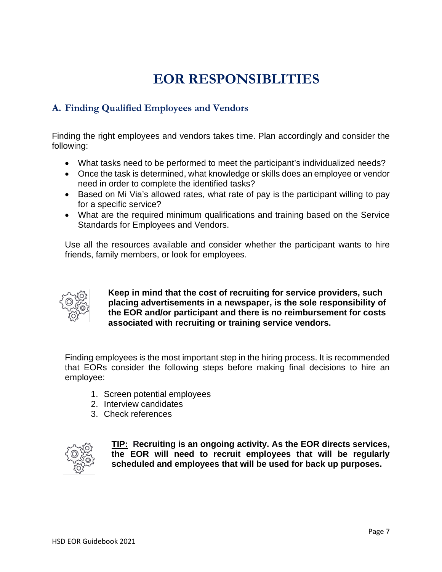# <span id="page-6-0"></span>**EOR RESPONSIBLITIES**

### <span id="page-6-1"></span>**A. Finding Qualified Employees and Vendors**

Finding the right employees and vendors takes time. Plan accordingly and consider the following:

- What tasks need to be performed to meet the participant's individualized needs?
- Once the task is determined, what knowledge or skills does an employee or vendor need in order to complete the identified tasks?
- Based on Mi Via's allowed rates, what rate of pay is the participant willing to pay for a specific service?
- What are the required minimum qualifications and training based on the Service Standards for Employees and Vendors.

Use all the resources available and consider whether the participant wants to hire friends, family members, or look for employees.



**Keep in mind that the cost of recruiting for service providers, such placing advertisements in a newspaper, is the sole responsibility of the EOR and/or participant and there is no reimbursement for costs associated with recruiting or training service vendors.**

Finding employees is the most important step in the hiring process. It is recommended that EORs consider the following steps before making final decisions to hire an employee:

- 1. Screen potential employees
- 2. Interview candidates
- 3. Check references

<span id="page-6-2"></span>

**TIP: Recruiting is an ongoing activity. As the EOR directs services, the EOR will need to recruit employees that will be regularly scheduled and employees that will be used for back up purposes.**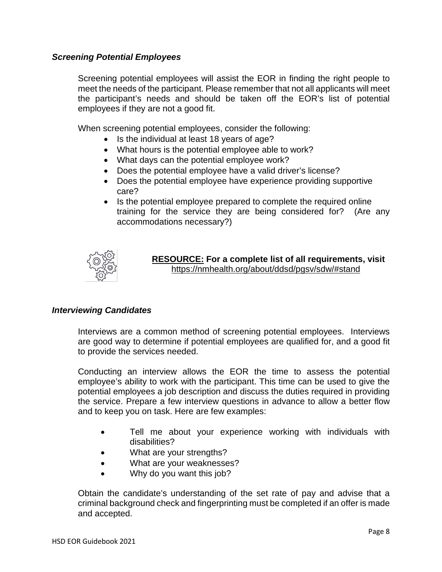#### *Screening Potential Employees*

Screening potential employees will assist the EOR in finding the right people to meet the needs of the participant. Please remember that not all applicants will meet the participant's needs and should be taken off the EOR's list of potential employees if they are not a good fit.

When screening potential employees, consider the following:

- Is the individual at least 18 years of age?
- What hours is the potential employee able to work?
- What days can the potential employee work?
- Does the potential employee have a valid driver's license?
- Does the potential employee have experience providing supportive care?
- Is the potential employee prepared to complete the required online training for the service they are being considered for? (Are any accommodations necessary?)



**RESOURCE: For a complete list of all requirements, visit** <https://nmhealth.org/about/ddsd/pgsv/sdw/#stand>

#### <span id="page-7-0"></span>*Interviewing Candidates*

Interviews are a common method of screening potential employees. Interviews are good way to determine if potential employees are qualified for, and a good fit to provide the services needed.

Conducting an interview allows the EOR the time to assess the potential employee's ability to work with the participant. This time can be used to give the potential employees a job description and discuss the duties required in providing the service. Prepare a few interview questions in advance to allow a better flow and to keep you on task. Here are few examples:

- Tell me about your experience working with individuals with disabilities?
- What are your strengths?
- What are your weaknesses?
- Why do you want this job?

Obtain the candidate's understanding of the set rate of pay and advise that a criminal background check and fingerprinting must be completed if an offer is made and accepted.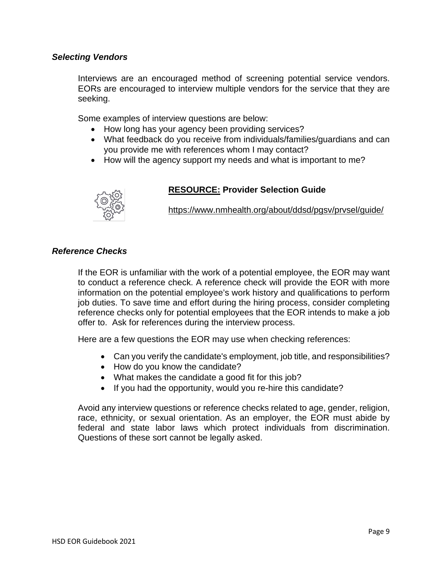#### <span id="page-8-0"></span>*Selecting Vendors*

Interviews are an encouraged method of screening potential service vendors. EORs are encouraged to interview multiple vendors for the service that they are seeking.

Some examples of interview questions are below:

- How long has your agency been providing services?
- What feedback do you receive from individuals/families/guardians and can you provide me with references whom I may contact?
- How will the agency support my needs and what is important to me?



#### **RESOURCE: Provider Selection Guide**

<https://www.nmhealth.org/about/ddsd/pgsv/prvsel/guide/>

#### <span id="page-8-1"></span>*Reference Checks*

If the EOR is unfamiliar with the work of a potential employee, the EOR may want to conduct a reference check. A reference check will provide the EOR with more information on the potential employee's work history and qualifications to perform iob duties. To save time and effort during the hiring process, consider completing reference checks only for potential employees that the EOR intends to make a job offer to. Ask for references during the interview process.

Here are a few questions the EOR may use when checking references:

- Can you verify the candidate's employment, job title, and responsibilities?
- How do you know the candidate?
- What makes the candidate a good fit for this job?
- If you had the opportunity, would you re-hire this candidate?

Avoid any interview questions or reference checks related to age, gender, religion, race, ethnicity, or sexual orientation. As an employer, the EOR must abide by federal and state labor laws which protect individuals from discrimination. Questions of these sort cannot be legally asked.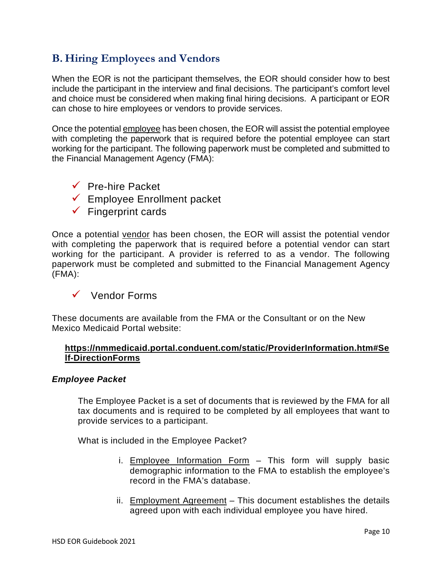# <span id="page-9-0"></span>**B. Hiring Employees and Vendors**

When the EOR is not the participant themselves, the EOR should consider how to best include the participant in the interview and final decisions. The participant's comfort level and choice must be considered when making final hiring decisions. A participant or EOR can chose to hire employees or vendors to provide services.

Once the potential employee has been chosen, the EOR will assist the potential employee with completing the paperwork that is required before the potential employee can start working for the participant. The following paperwork must be completed and submitted to the Financial Management Agency (FMA):

- $\sqrt{ }$  Pre-hire Packet
- Employee Enrollment packet
- $\checkmark$  Fingerprint cards

Once a potential vendor has been chosen, the EOR will assist the potential vendor with completing the paperwork that is required before a potential vendor can start working for the participant. A provider is referred to as a vendor. The following paperwork must be completed and submitted to the Financial Management Agency (FMA):

 $\checkmark$  Vendor Forms

These documents are available from the FMA or the Consultant or on the New Mexico Medicaid Portal website:

#### **[https://nmmedicaid.portal.conduent.com/static/ProviderInformation.htm#Se](https://nmmedicaid.portal.conduent.com/static/ProviderInformation.htm#Self-DirectionForms) [lf-DirectionForms](https://nmmedicaid.portal.conduent.com/static/ProviderInformation.htm#Self-DirectionForms)**

#### <span id="page-9-1"></span>*Employee Packet*

The Employee Packet is a set of documents that is reviewed by the FMA for all tax documents and is required to be completed by all employees that want to provide services to a participant.

What is included in the Employee Packet?

- i. Employee Information Form  $-$  This form will supply basic demographic information to the FMA to establish the employee's record in the FMA's database.
- ii. Employment Agreement This document establishes the details agreed upon with each individual employee you have hired.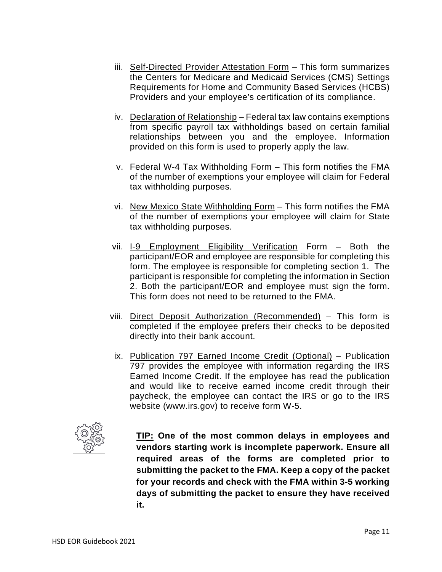- iii. Self-Directed Provider Attestation Form This form summarizes the Centers for Medicare and Medicaid Services (CMS) Settings Requirements for Home and Community Based Services (HCBS) Providers and your employee's certification of its compliance.
- iv. Declaration of Relationship Federal tax law contains exemptions from specific payroll tax withholdings based on certain familial relationships between you and the employee. Information provided on this form is used to properly apply the law.
- v. Federal W-4 Tax Withholding Form This form notifies the FMA of the number of exemptions your employee will claim for Federal tax withholding purposes.
- vi. New Mexico State Withholding Form This form notifies the FMA of the number of exemptions your employee will claim for State tax withholding purposes.
- vii. I-9 Employment Eligibility Verification Form Both the participant/EOR and employee are responsible for completing this form. The employee is responsible for completing section 1. The participant is responsible for completing the information in Section 2. Both the participant/EOR and employee must sign the form. This form does not need to be returned to the FMA.
- viii. Direct Deposit Authorization (Recommended) This form is completed if the employee prefers their checks to be deposited directly into their bank account.
- ix. Publication 797 Earned Income Credit (Optional) Publication 797 provides the employee with information regarding the IRS Earned Income Credit. If the employee has read the publication and would like to receive earned income credit through their paycheck, the employee can contact the IRS or go to the IRS website (www.irs.gov) to receive form W-5.



**TIP: One of the most common delays in employees and vendors starting work is incomplete paperwork. Ensure all required areas of the forms are completed prior to submitting the packet to the FMA. Keep a copy of the packet for your records and check with the FMA within 3-5 working days of submitting the packet to ensure they have received it.**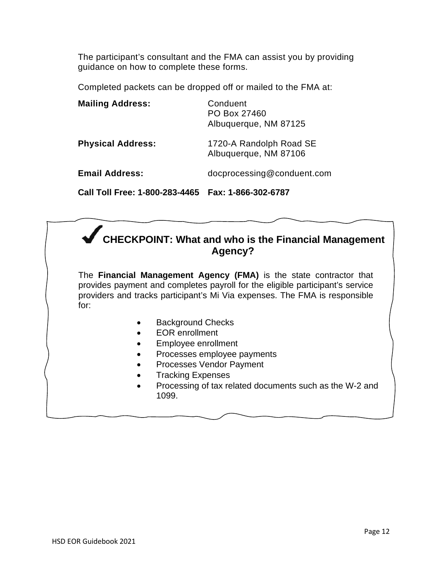The participant's consultant and the FMA can assist you by providing guidance on how to complete these forms.

Completed packets can be dropped off or mailed to the FMA at:

| Call Toll Free: 1-800-283-4465 | Fax: 1-866-302-6787                               |
|--------------------------------|---------------------------------------------------|
| <b>Email Address:</b>          | docprocessing@conduent.com                        |
| <b>Physical Address:</b>       | 1720-A Randolph Road SE<br>Albuquerque, NM 87106  |
| <b>Mailing Address:</b>        | Conduent<br>PO Box 27460<br>Albuquerque, NM 87125 |

# **CHECKPOINT: What and who is the Financial Management Agency?**

The **Financial Management Agency (FMA)** is the state contractor that provides payment and completes payroll for the eligible participant's service providers and tracks participant's Mi Via expenses. The FMA is responsible for:

- Background Checks
- EOR enrollment
- Employee enrollment
- Processes employee payments
- Processes Vendor Payment
- Tracking Expenses
- Processing of tax related documents such as the W-2 and 1099.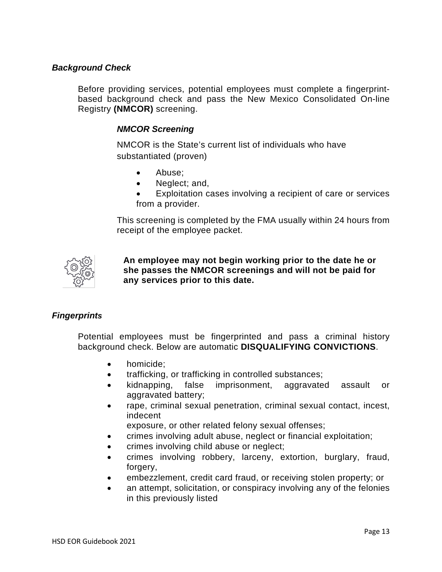#### <span id="page-12-0"></span>*Background Check*

Before providing services, potential employees must complete a fingerprintbased background check and pass the New Mexico Consolidated On-line Registry **(NMCOR)** screening.

#### *NMCOR Screening*

NMCOR is the State's current list of individuals who have substantiated (proven)

- Abuse;
- Neglect; and,
- Exploitation cases involving a recipient of care or services from a provider.

This screening is completed by the FMA usually within 24 hours from receipt of the employee packet.



**An employee may not begin working prior to the date he or she passes the NMCOR screenings and will not be paid for any services prior to this date.**

#### *Fingerprints*

Potential employees must be fingerprinted and pass a criminal history background check. Below are automatic **DISQUALIFYING CONVICTIONS**.

- homicide;
- trafficking, or trafficking in controlled substances;
- kidnapping, false imprisonment, aggravated assault or aggravated battery;
- rape, criminal sexual penetration, criminal sexual contact, incest, indecent

exposure, or other related felony sexual offenses;

- crimes involving adult abuse, neglect or financial exploitation;
- crimes involving child abuse or neglect;
- crimes involving robbery, larceny, extortion, burglary, fraud. forgery,
- embezzlement, credit card fraud, or receiving stolen property; or
- an attempt, solicitation, or conspiracy involving any of the felonies in this previously listed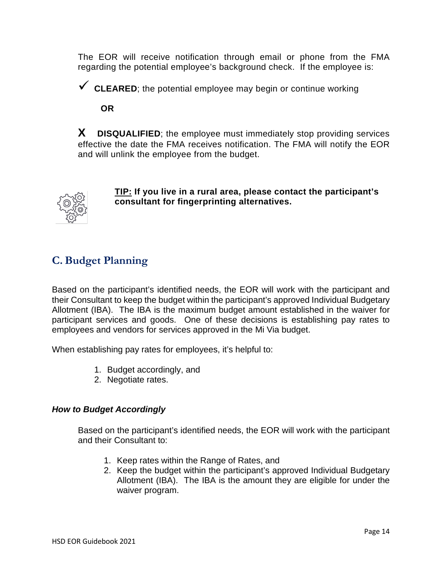The EOR will receive notification through email or phone from the FMA regarding the potential employee's background check. If the employee is:

**CLEARED**; the potential employee may begin or continue working

**OR**

**X DISQUALIFIED**; the employee must immediately stop providing services effective the date the FMA receives notification. The FMA will notify the EOR and will unlink the employee from the budget.



**TIP: If you live in a rural area, please contact the participant's consultant for fingerprinting alternatives.**

# <span id="page-13-0"></span>**C. Budget Planning**

Based on the participant's identified needs, the EOR will work with the participant and their Consultant to keep the budget within the participant's approved Individual Budgetary Allotment (IBA). The IBA is the maximum budget amount established in the waiver for participant services and goods. One of these decisions is establishing pay rates to employees and vendors for services approved in the Mi Via budget.

When establishing pay rates for employees, it's helpful to:

- 1. Budget accordingly, and
- 2. Negotiate rates.

#### <span id="page-13-1"></span>*How to Budget Accordingly*

Based on the participant's identified needs, the EOR will work with the participant and their Consultant to:

- 1. Keep rates within the Range of Rates, and
- 2. Keep the budget within the participant's approved Individual Budgetary Allotment (IBA). The IBA is the amount they are eligible for under the waiver program.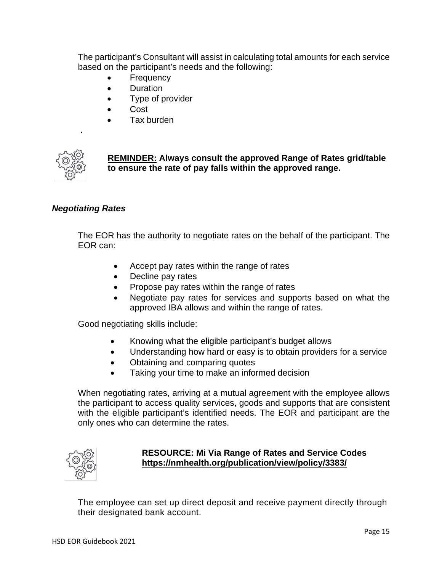The participant's Consultant will assist in calculating total amounts for each service based on the participant's needs and the following:

- **Frequency**
- Duration
- Type of provider
- Cost
- Tax burden



.

**REMINDER: Always consult the approved Range of Rates grid/table to ensure the rate of pay falls within the approved range.**

#### <span id="page-14-0"></span>*Negotiating Rates*

The EOR has the authority to negotiate rates on the behalf of the participant. The EOR can:

- Accept pay rates within the range of rates
- Decline pay rates
- Propose pay rates within the range of rates
- Negotiate pay rates for services and supports based on what the approved IBA allows and within the range of rates.

Good negotiating skills include:

- Knowing what the eligible participant's budget allows
- Understanding how hard or easy is to obtain providers for a service
- Obtaining and comparing quotes
- Taking your time to make an informed decision

When negotiating rates, arriving at a mutual agreement with the employee allows the participant to access quality services, goods and supports that are consistent with the eligible participant's identified needs. The EOR and participant are the only ones who can determine the rates.



#### **RESOURCE: Mi Via Range of Rates and Service Codes <https://nmhealth.org/publication/view/policy/3383/>**

The employee can set up direct deposit and receive payment directly through their designated bank account.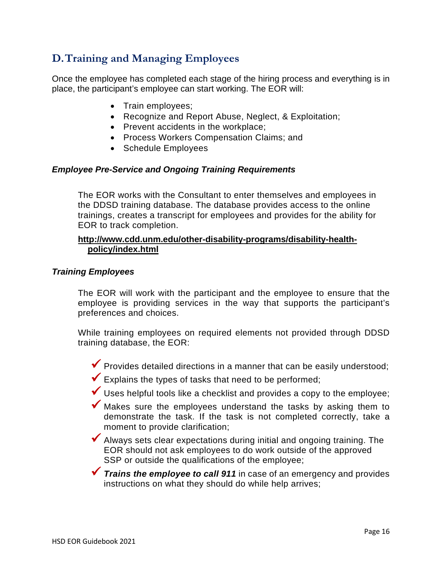# <span id="page-15-0"></span>**D.Training and Managing Employees**

Once the employee has completed each stage of the hiring process and everything is in place, the participant's employee can start working. The EOR will:

- Train employees;
- Recognize and Report Abuse, Neglect, & Exploitation;
- Prevent accidents in the workplace;
- Process Workers Compensation Claims; and
- Schedule Employees

#### <span id="page-15-1"></span>*Employee Pre-Service and Ongoing Training Requirements*

The EOR works with the Consultant to enter themselves and employees in the DDSD training database. The database provides access to the online trainings, creates a transcript for employees and provides for the ability for EOR to track completion.

#### **http://www.cdd.unm.edu/other-disability-programs/disability-healthpolicy/index.html**

#### <span id="page-15-2"></span>*Training Employees*

The EOR will work with the participant and the employee to ensure that the employee is providing services in the way that supports the participant's preferences and choices.

While training employees on required elements not provided through DDSD training database, the EOR:

 $\blacktriangledown$  Provides detailed directions in a manner that can be easily understood;

 $\blacktriangleright$  Explains the types of tasks that need to be performed;

Uses helpful tools like a checklist and provides a copy to the employee;

- Makes sure the employees understand the tasks by asking them to demonstrate the task. If the task is not completed correctly, take a moment to provide clarification;
- Always sets clear expectations during initial and ongoing training. The EOR should not ask employees to do work outside of the approved SSP or outside the qualifications of the employee;
- **Trains the employee to call 911** in case of an emergency and provides instructions on what they should do while help arrives;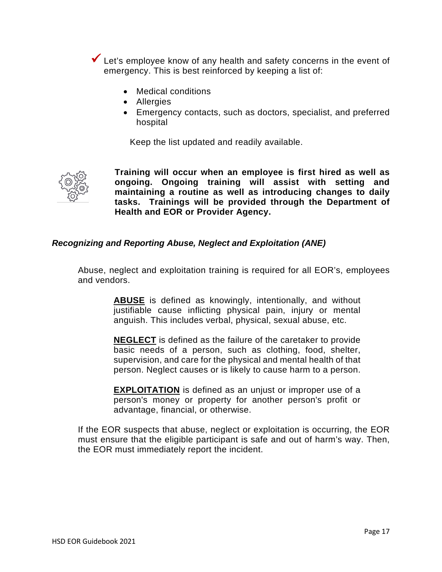Let's employee know of any health and safety concerns in the event of emergency. This is best reinforced by keeping a list of:

- Medical conditions
- Allergies
- Emergency contacts, such as doctors, specialist, and preferred hospital

Keep the list updated and readily available.



**Training will occur when an employee is first hired as well as ongoing. Ongoing training will assist with setting and maintaining a routine as well as introducing changes to daily tasks. Trainings will be provided through the Department of Health and EOR or Provider Agency.**

#### <span id="page-16-0"></span>*Recognizing and Reporting Abuse, Neglect and Exploitation (ANE)*

Abuse, neglect and exploitation training is required for all EOR's, employees and vendors.

> **ABUSE** is defined as knowingly, intentionally, and without justifiable cause inflicting physical pain, injury or mental anguish. This includes verbal, physical, sexual abuse, etc.

> **NEGLECT** is defined as the failure of the caretaker to provide basic needs of a person, such as clothing, food, shelter, supervision, and care for the physical and mental health of that person. Neglect causes or is likely to cause harm to a person.

> **EXPLOITATION** is defined as an unjust or improper use of a person's money or property for another person's profit or advantage, financial, or otherwise.

If the EOR suspects that abuse, neglect or exploitation is occurring, the EOR must ensure that the eligible participant is safe and out of harm's way. Then, the EOR must immediately report the incident.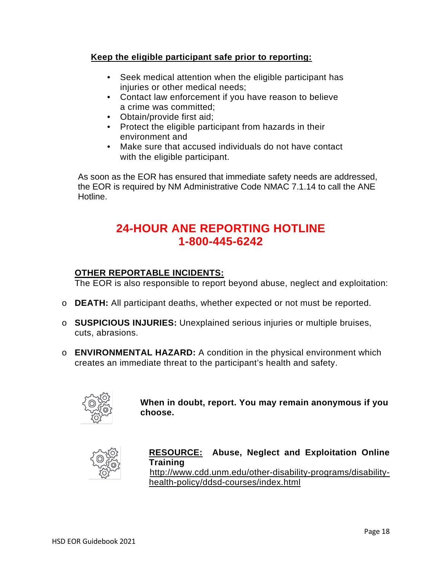#### **Keep the eligible participant safe prior to reporting:**

- Seek medical attention when the eligible participant has injuries or other medical needs;
- Contact law enforcement if you have reason to believe a crime was committed;
- Obtain/provide first aid;
- Protect the eligible participant from hazards in their environment and
- Make sure that accused individuals do not have contact with the eligible participant.

As soon as the EOR has ensured that immediate safety needs are addressed, the EOR is required by NM Administrative Code NMAC 7.1.14 to call the ANE Hotline.

# **24-HOUR ANE REPORTING HOTLINE 1-800-445-6242**

#### **OTHER REPORTABLE INCIDENTS:**

The EOR is also responsible to report beyond abuse, neglect and exploitation:

- o **DEATH:** All participant deaths, whether expected or not must be reported.
- o **SUSPICIOUS INJURIES:** Unexplained serious injuries or multiple bruises, cuts, abrasions.
- o **ENVIRONMENTAL HAZARD:** A condition in the physical environment which creates an immediate threat to the participant's health and safety.



**When in doubt, report. You may remain anonymous if you choose.**



#### **RESOURCE: Abuse, Neglect and Exploitation Online Training**

[http://www.cdd.unm.edu/other-disability-programs/disability](http://www.cdd.unm.edu/other-disability-programs/disability-health-policy/ddsd-courses/index.html)[health-policy/ddsd-courses/index.html](http://www.cdd.unm.edu/other-disability-programs/disability-health-policy/ddsd-courses/index.html)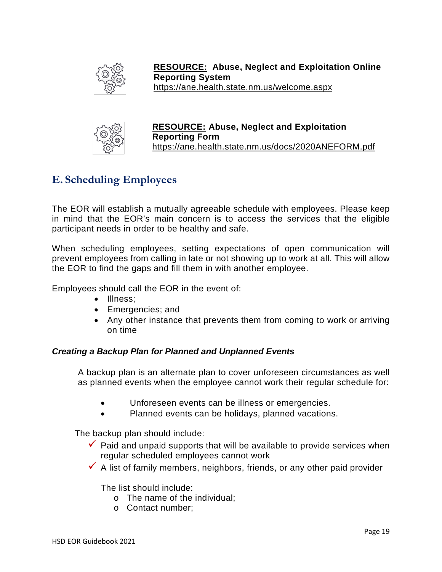

**RESOURCE: Abuse, Neglect and Exploitation Online Reporting System** <https://ane.health.state.nm.us/welcome.aspx>



**RESOURCE: Abuse, Neglect and Exploitation Reporting Form** <https://ane.health.state.nm.us/docs/2020ANEFORM.pdf>

# <span id="page-18-0"></span>**E. Scheduling Employees**

The EOR will establish a mutually agreeable schedule with employees. Please keep in mind that the EOR's main concern is to access the services that the eligible participant needs in order to be healthy and safe.

When scheduling employees, setting expectations of open communication will prevent employees from calling in late or not showing up to work at all. This will allow the EOR to find the gaps and fill them in with another employee.

Employees should call the EOR in the event of:

- Illness:
- Emergencies; and
- Any other instance that prevents them from coming to work or arriving on time

#### *Creating a Backup Plan for Planned and Unplanned Events*

A backup plan is an alternate plan to cover unforeseen circumstances as well as planned events when the employee cannot work their regular schedule for:

- Unforeseen events can be illness or emergencies.
- Planned events can be holidays, planned vacations.

The backup plan should include:

- $\checkmark$  Paid and unpaid supports that will be available to provide services when regular scheduled employees cannot work
- $\overline{\phantom{a}}$  A list of family members, neighbors, friends, or any other paid provider

The list should include:

- o The name of the individual;
- o Contact number;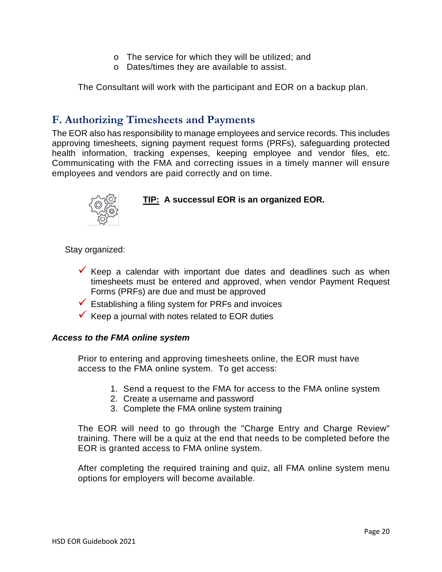- o The service for which they will be utilized; and
- o Dates/times they are available to assist.

The Consultant will work with the participant and EOR on a backup plan.

### <span id="page-19-0"></span>**F. Authorizing Timesheets and Payments**

The EOR also has responsibility to manage employees and service records. This includes approving timesheets, signing payment request forms (PRFs), safeguarding protected health information, tracking expenses, keeping employee and vendor files, etc. Communicating with the FMA and correcting issues in a timely manner will ensure employees and vendors are paid correctly and on time.



#### **TIP: A successul EOR is an organized EOR.**

Stay organized:

- $\checkmark$  Keep a calendar with important due dates and deadlines such as when timesheets must be entered and approved, when vendor Payment Request Forms (PRFs) are due and must be approved
- $\checkmark$  Establishing a filing system for PRFs and invoices
- $\checkmark$  Keep a journal with notes related to EOR duties

#### <span id="page-19-1"></span>*Access to the FMA online system*

Prior to entering and approving timesheets online, the EOR must have access to the FMA online system. To get access:

- 1. Send a request to the FMA for access to the FMA online system
- 2. Create a username and password
- 3. Complete the FMA online system training

The EOR will need to go through the "Charge Entry and Charge Review" training. There will be a quiz at the end that needs to be completed before the EOR is granted access to FMA online system.

After completing the required training and quiz, all FMA online system menu options for employers will become available.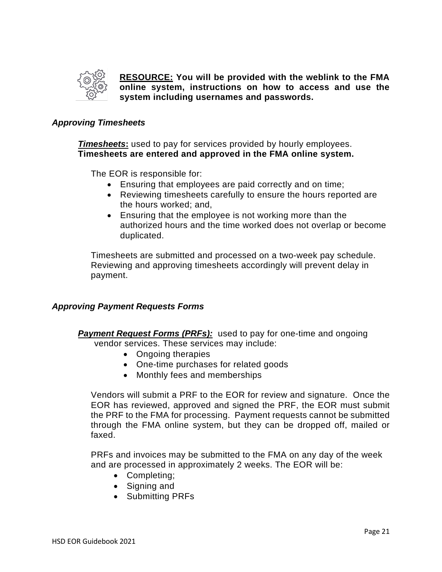

**RESOURCE: You will be provided with the weblink to the FMA online system, instructions on how to access and use the system including usernames and passwords.**

#### <span id="page-20-0"></span>*Approving Timesheets*

*Timesheets***:** used to pay for services provided by hourly employees. **Timesheets are entered and approved in the FMA online system.**

The EOR is responsible for:

- Ensuring that employees are paid correctly and on time;
- Reviewing timesheets carefully to ensure the hours reported are the hours worked; and,
- Ensuring that the employee is not working more than the authorized hours and the time worked does not overlap or become duplicated.

Timesheets are submitted and processed on a two-week pay schedule. Reviewing and approving timesheets accordingly will prevent delay in payment.

#### <span id="page-20-1"></span>*Approving Payment Requests Forms*

**Payment Request Forms** *(PRFs)*: used to pay for one-time and ongoing

- vendor services. These services may include:
	- Ongoing therapies
	- One-time purchases for related goods
	- Monthly fees and memberships

Vendors will submit a PRF to the EOR for review and signature. Once the EOR has reviewed, approved and signed the PRF, the EOR must submit the PRF to the FMA for processing. Payment requests cannot be submitted through the FMA online system, but they can be dropped off, mailed or faxed.

PRFs and invoices may be submitted to the FMA on any day of the week and are processed in approximately 2 weeks. The EOR will be:

- Completing;
- Signing and
- Submitting PRFs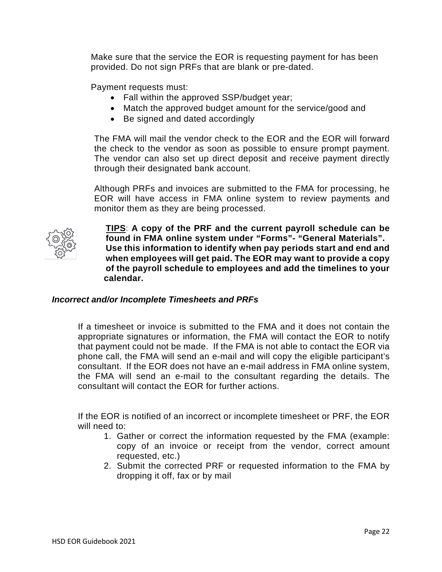Make sure that the service the EOR is requesting payment for has been provided. Do not sign PRFs that are blank or pre-dated.

Payment requests must:

- Fall within the approved SSP/budget year;
- Match the approved budget amount for the service/good and
- Be signed and dated accordingly

The FMA will mail the vendor check to the EOR and the EOR will forward the check to the vendor as soon as possible to ensure prompt payment. The vendor can also set up direct deposit and receive payment directly through their designated bank account.

Although PRFs and invoices are submitted to the FMA for processing, he EOR will have access in FMA online system to review payments and monitor them as they are being processed.



**TIPS**: **A copy of the PRF and the current payroll schedule can be found in FMA online system under "Forms"- "General Materials". Use this information to identify when pay periods start and end and when employees will get paid. The EOR may want to provide a copy of the payroll schedule to employees and add the timelines to your calendar.**

#### <span id="page-21-0"></span>*Incorrect and/or Incomplete Timesheets and PRFs*

If a timesheet or invoice is submitted to the FMA and it does not contain the appropriate signatures or information, the FMA will contact the EOR to notify that payment could not be made. If the FMA is not able to contact the EOR via phone call, the FMA will send an e-mail and will copy the eligible participant's consultant. If the EOR does not have an e-mail address in FMA online system, the FMA will send an e-mail to the consultant regarding the details. The consultant will contact the EOR for further actions.

If the EOR is notified of an incorrect or incomplete timesheet or PRF, the EOR will need to:

- 1. Gather or correct the information requested by the FMA (example: copy of an invoice or receipt from the vendor, correct amount requested, etc.)
- 2. Submit the corrected PRF or requested information to the FMA by dropping it off, fax or by mail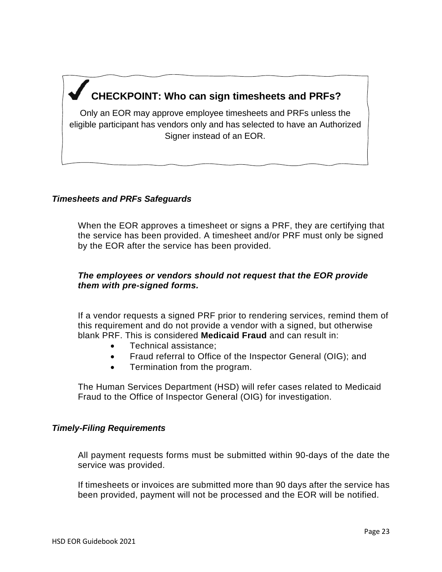# **CHECKPOINT: Who can sign timesheets and PRFs?**

Only an EOR may approve employee timesheets and PRFs unless the eligible participant has vendors only and has selected to have an Authorized Signer instead of an EOR.

#### *Timesheets and PRFs Safeguards*

When the EOR approves a timesheet or signs a PRF, they are certifying that the service has been provided. A timesheet and/or PRF must only be signed by the EOR after the service has been provided.

#### *The employees or vendors should not request that the EOR provide them with pre-signed forms.*

If a vendor requests a signed PRF prior to rendering services, remind them of this requirement and do not provide a vendor with a signed, but otherwise blank PRF. This is considered **Medicaid Fraud** and can result in:

- Technical assistance;
- Fraud referral to Office of the Inspector General (OIG); and
- Termination from the program.

The Human Services Department (HSD) will refer cases related to Medicaid Fraud to the Office of Inspector General (OIG) for investigation.

#### *Timely-Filing Requirements*

All payment requests forms must be submitted within 90-days of the date the service was provided.

If timesheets or invoices are submitted more than 90 days after the service has been provided, payment will not be processed and the EOR will be notified.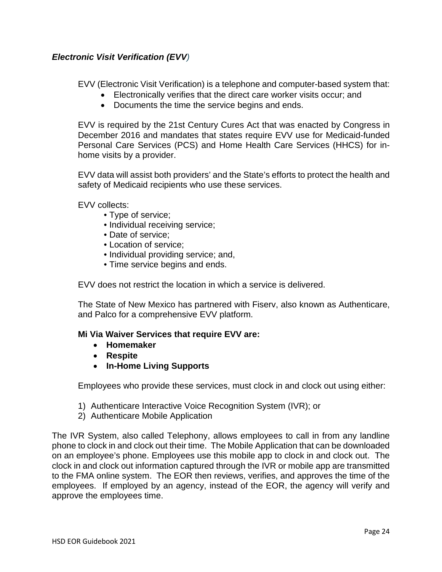#### <span id="page-23-0"></span>*Electronic Visit Verification (EVV)*

EVV (Electronic Visit Verification) is a telephone and computer-based system that:

- Electronically verifies that the direct care worker visits occur; and
- Documents the time the service begins and ends.

EVV is required by the 21st Century Cures Act that was enacted by Congress in December 2016 and mandates that states require EVV use for Medicaid-funded Personal Care Services (PCS) and Home Health Care Services (HHCS) for inhome visits by a provider.

EVV data will assist both providers' and the State's efforts to protect the health and safety of Medicaid recipients who use these services.

EVV collects:

- Type of service;
- Individual receiving service;
- Date of service;
- Location of service;
- Individual providing service; and,
- Time service begins and ends.

EVV does not restrict the location in which a service is delivered.

The State of New Mexico has partnered with Fiserv, also known as Authenticare, and Palco for a comprehensive EVV platform.

#### **Mi Via Waiver Services that require EVV are:**

- **Homemaker**
- **Respite**
- **In-Home Living Supports**

Employees who provide these services, must clock in and clock out using either:

- 1) Authenticare Interactive Voice Recognition System (IVR); or
- 2) Authenticare Mobile Application

The IVR System, also called Telephony, allows employees to call in from any landline phone to clock in and clock out their time. The Mobile Application that can be downloaded on an employee's phone. Employees use this mobile app to clock in and clock out. The clock in and clock out information captured through the IVR or mobile app are transmitted to the FMA online system. The EOR then reviews, verifies, and approves the time of the employees. If employed by an agency, instead of the EOR, the agency will verify and approve the employees time.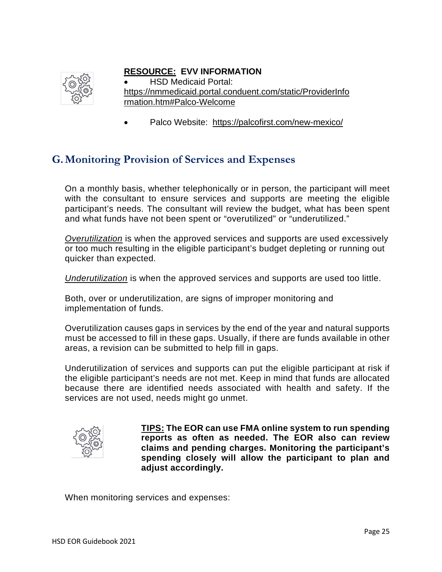

#### **RESOURCE: EVV INFORMATION**

• HSD Medicaid Portal: [https://nmmedicaid.portal.conduent.com/static/ProviderInfo](https://nmmedicaid.portal.conduent.com/static/ProviderInformation.htm#Palco-Welcome) [rmation.htm#Palco-Welcome](https://nmmedicaid.portal.conduent.com/static/ProviderInformation.htm#Palco-Welcome)

• Palco Website: <https://palcofirst.com/new-mexico/>

### <span id="page-24-0"></span>**G.Monitoring Provision of Services and Expenses**

On a monthly basis, whether telephonically or in person, the participant will meet with the consultant to ensure services and supports are meeting the eligible participant's needs. The consultant will review the budget, what has been spent and what funds have not been spent or "overutilized" or "underutilized."

*Overutilization* is when the approved services and supports are used excessively or too much resulting in the eligible participant's budget depleting or running out quicker than expected.

*Underutilization* is when the approved services and supports are used too little.

Both, over or underutilization, are signs of improper monitoring and implementation of funds.

Overutilization causes gaps in services by the end of the year and natural supports must be accessed to fill in these gaps. Usually, if there are funds available in other areas, a revision can be submitted to help fill in gaps.

Underutilization of services and supports can put the eligible participant at risk if the eligible participant's needs are not met. Keep in mind that funds are allocated because there are identified needs associated with health and safety. If the services are not used, needs might go unmet.



**TIPS: The EOR can use FMA online system to run spending reports as often as needed. The EOR also can review claims and pending charges. Monitoring the participant's spending closely will allow the participant to plan and adjust accordingly.**

When monitoring services and expenses: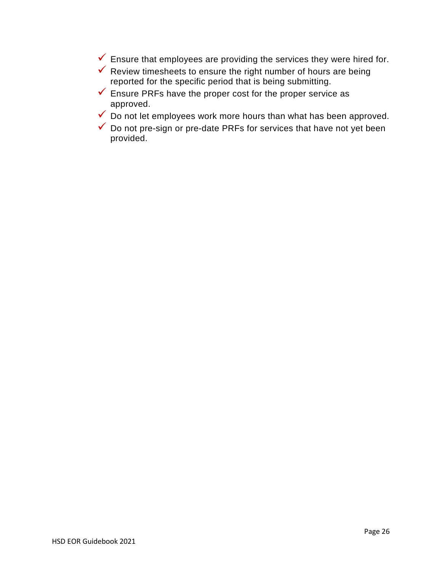- $\checkmark$  Ensure that employees are providing the services they were hired for.
- $\checkmark$  Review timesheets to ensure the right number of hours are being reported for the specific period that is being submitting.
- $\checkmark$  Ensure PRFs have the proper cost for the proper service as approved.
- $\checkmark$  Do not let employees work more hours than what has been approved.
- $\checkmark$  Do not pre-sign or pre-date PRFs for services that have not yet been provided.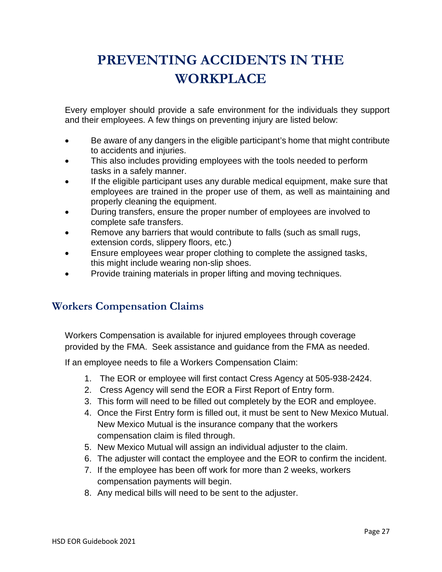# <span id="page-26-0"></span>**PREVENTING ACCIDENTS IN THE WORKPLACE**

Every employer should provide a safe environment for the individuals they support and their employees. A few things on preventing injury are listed below:

- Be aware of any dangers in the eligible participant's home that might contribute to accidents and injuries.
- This also includes providing employees with the tools needed to perform tasks in a safely manner.
- If the eligible participant uses any durable medical equipment, make sure that employees are trained in the proper use of them, as well as maintaining and properly cleaning the equipment.
- During transfers, ensure the proper number of employees are involved to complete safe transfers.
- Remove any barriers that would contribute to falls (such as small rugs, extension cords, slippery floors, etc.)
- Ensure employees wear proper clothing to complete the assigned tasks, this might include wearing non-slip shoes.
- Provide training materials in proper lifting and moving techniques.

# <span id="page-26-1"></span>**Workers Compensation Claims**

Workers Compensation is available for injured employees through coverage provided by the FMA. Seek assistance and guidance from the FMA as needed.

If an employee needs to file a Workers Compensation Claim:

- 1. The EOR or employee will first contact Cress Agency at 505-938-2424.
- 2. Cress Agency will send the EOR a First Report of Entry form.
- 3. This form will need to be filled out completely by the EOR and employee.
- 4. Once the First Entry form is filled out, it must be sent to New Mexico Mutual. New Mexico Mutual is the insurance company that the workers compensation claim is filed through.
- 5. New Mexico Mutual will assign an individual adjuster to the claim.
- 6. The adjuster will contact the employee and the EOR to confirm the incident.
- 7. If the employee has been off work for more than 2 weeks, workers compensation payments will begin.
- 8. Any medical bills will need to be sent to the adjuster.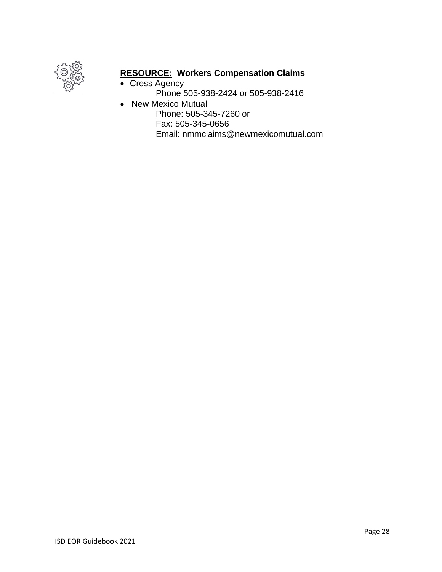

## **RESOURCE: Workers Compensation Claims**

- Cress Agency Phone 505-938-2424 or 505-938-2416 • New Mexico Mutual
	- Phone: 505-345-7260 or Fax: 505-345-0656 Email: [nmmclaims@newmexicomutual.com](mailto:nmmclaims@newmexicomutual.com)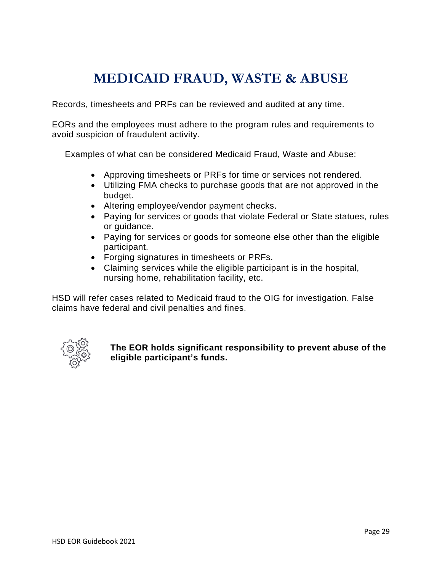# **MEDICAID FRAUD, WASTE & ABUSE**

<span id="page-28-0"></span>Records, timesheets and PRFs can be reviewed and audited at any time.

EORs and the employees must adhere to the program rules and requirements to avoid suspicion of fraudulent activity.

Examples of what can be considered Medicaid Fraud, Waste and Abuse:

- Approving timesheets or PRFs for time or services not rendered.
- Utilizing FMA checks to purchase goods that are not approved in the budget.
- Altering employee/vendor payment checks.
- Paying for services or goods that violate Federal or State statues, rules or guidance.
- Paying for services or goods for someone else other than the eligible participant.
- Forging signatures in timesheets or PRFs.
- Claiming services while the eligible participant is in the hospital, nursing home, rehabilitation facility, etc.

HSD will refer cases related to Medicaid fraud to the OIG for investigation. False claims have federal and civil penalties and fines.



**The EOR holds significant responsibility to prevent abuse of the eligible participant's funds.**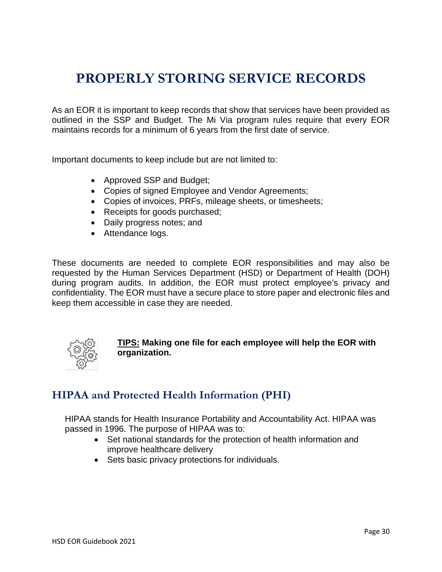# <span id="page-29-0"></span>**PROPERLY STORING SERVICE RECORDS**

As an EOR it is important to keep records that show that services have been provided as outlined in the SSP and Budget. The Mi Via program rules require that every EOR maintains records for a minimum of 6 years from the first date of service.

Important documents to keep include but are not limited to:

- Approved SSP and Budget;
- Copies of signed Employee and Vendor Agreements;
- Copies of invoices, PRFs, mileage sheets, or timesheets;
- Receipts for goods purchased;
- Daily progress notes; and
- Attendance logs.

These documents are needed to complete EOR responsibilities and may also be requested by the Human Services Department (HSD) or Department of Health (DOH) during program audits. In addition, the EOR must protect employee's privacy and confidentiality. The EOR must have a secure place to store paper and electronic files and keep them accessible in case they are needed.



**TIPS: Making one file for each employee will help the EOR with organization.**

## <span id="page-29-1"></span>**HIPAA and Protected Health Information (PHI)**

HIPAA stands for Health Insurance Portability and Accountability Act. HIPAA was passed in 1996. The purpose of HIPAA was to:

- Set national standards for the protection of health information and improve healthcare delivery
- Sets basic privacy protections for individuals.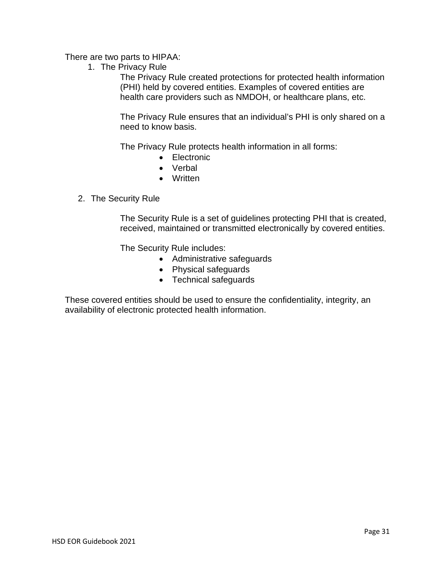There are two parts to HIPAA:

1. The Privacy Rule

The Privacy Rule created protections for protected health information (PHI) held by covered entities. Examples of covered entities are health care providers such as NMDOH, or healthcare plans, etc.

The Privacy Rule ensures that an individual's PHI is only shared on a need to know basis.

The Privacy Rule protects health information in all forms:

- Electronic
- Verbal
- Written
- 2. The Security Rule

The Security Rule is a set of guidelines protecting PHI that is created, received, maintained or transmitted electronically by covered entities.

The Security Rule includes:

- Administrative safeguards
- Physical safeguards
- Technical safeguards

These covered entities should be used to ensure the confidentiality, integrity, an availability of electronic protected health information.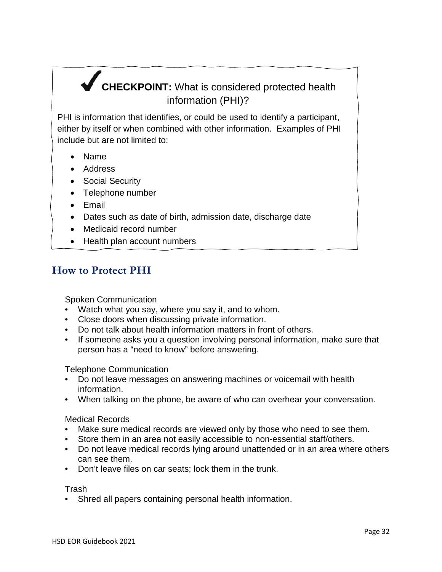# <span id="page-31-0"></span>**CHECKPOINT:** What is considered protected health information (PHI)?

PHI is information that identifies, or could be used to identify a participant, either by itself or when combined with other information. Examples of PHI include but are not limited to:

- Name
- Address
- Social Security
- Telephone number
- Email
- Dates such as date of birth, admission date, discharge date
- Medicaid record number
- Health plan account numbers

### **How to Protect PHI**

Spoken Communication

- Watch what you say, where you say it, and to whom.
- Close doors when discussing private information.
- Do not talk about health information matters in front of others.
- If someone asks you a question involving personal information, make sure that person has a "need to know" before answering.

Telephone Communication

- Do not leave messages on answering machines or voicemail with health information.
- When talking on the phone, be aware of who can overhear your conversation.

Medical Records

- Make sure medical records are viewed only by those who need to see them.
- Store them in an area not easily accessible to non-essential staff/others.
- Do not leave medical records lying around unattended or in an area where others can see them.
- Don't leave files on car seats; lock them in the trunk.

Trash

• Shred all papers containing personal health information.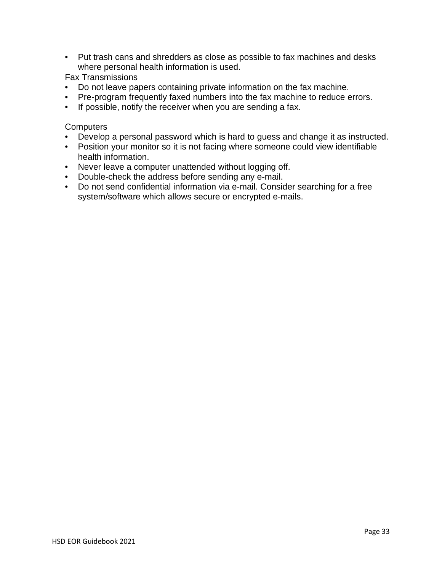• Put trash cans and shredders as close as possible to fax machines and desks where personal health information is used.

Fax Transmissions

- Do not leave papers containing private information on the fax machine.
- Pre-program frequently faxed numbers into the fax machine to reduce errors.
- If possible, notify the receiver when you are sending a fax.

**Computers** 

- Develop a personal password which is hard to guess and change it as instructed.
- Position your monitor so it is not facing where someone could view identifiable health information.
- Never leave a computer unattended without logging off.
- Double-check the address before sending any e-mail.
- Do not send confidential information via e-mail. Consider searching for a free system/software which allows secure or encrypted e-mails.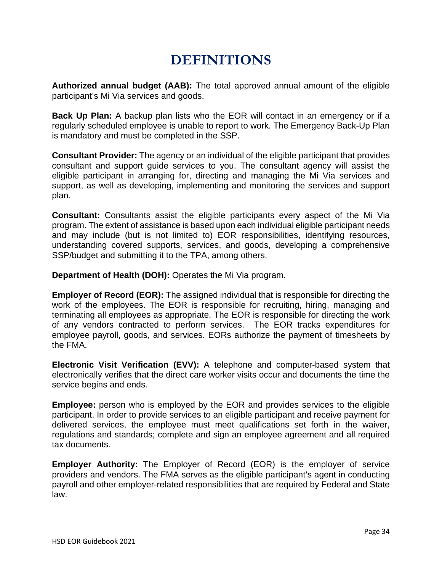# **DEFINITIONS**

<span id="page-33-0"></span>**Authorized annual budget (AAB):** The total approved annual amount of the eligible participant's Mi Via services and goods.

**Back Up Plan:** A backup plan lists who the EOR will contact in an emergency or if a regularly scheduled employee is unable to report to work. The Emergency Back-Up Plan is mandatory and must be completed in the SSP.

**Consultant Provider:** The agency or an individual of the eligible participant that provides consultant and support guide services to you. The consultant agency will assist the eligible participant in arranging for, directing and managing the Mi Via services and support, as well as developing, implementing and monitoring the services and support plan.

**Consultant:** Consultants assist the eligible participants every aspect of the Mi Via program. The extent of assistance is based upon each individual eligible participant needs and may include (but is not limited to) EOR responsibilities, identifying resources, understanding covered supports, services, and goods, developing a comprehensive SSP/budget and submitting it to the TPA, among others.

**Department of Health (DOH):** Operates the Mi Via program.

**Employer of Record (EOR):** The assigned individual that is responsible for directing the work of the employees. The EOR is responsible for recruiting, hiring, managing and terminating all employees as appropriate. The EOR is responsible for directing the work of any vendors contracted to perform services. The EOR tracks expenditures for employee payroll, goods, and services. EORs authorize the payment of timesheets by the FMA.

**Electronic Visit Verification (EVV):** A telephone and computer-based system that electronically verifies that the direct care worker visits occur and documents the time the service begins and ends.

**Employee:** person who is employed by the EOR and provides services to the eligible participant. In order to provide services to an eligible participant and receive payment for delivered services, the employee must meet qualifications set forth in the waiver, regulations and standards; complete and sign an employee agreement and all required tax documents.

**Employer Authority:** The Employer of Record (EOR) is the employer of service providers and vendors. The FMA serves as the eligible participant's agent in conducting payroll and other employer-related responsibilities that are required by Federal and State law.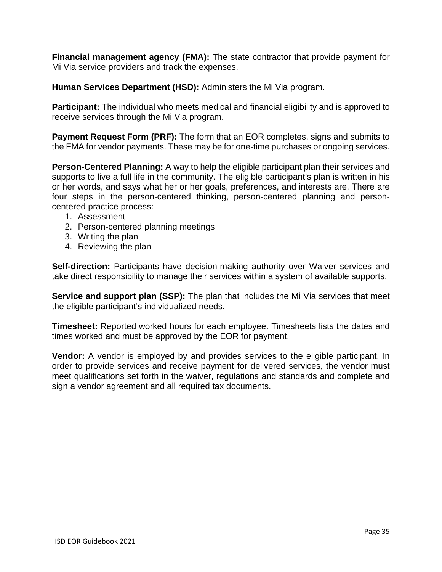**Financial management agency (FMA):** The state contractor that provide payment for Mi Via service providers and track the expenses.

**Human Services Department (HSD):** Administers the Mi Via program.

**Participant:** The individual who meets medical and financial eligibility and is approved to receive services through the Mi Via program.

**Payment Request Form (PRF):** The form that an EOR completes, signs and submits to the FMA for vendor payments. These may be for one-time purchases or ongoing services.

**Person-Centered Planning:** A way to help the eligible participant plan their services and supports to live a full life in the community. The eligible participant's plan is written in his or her words, and says what her or her goals, preferences, and interests are. There are four steps in the person-centered thinking, person-centered planning and personcentered practice process:

- 1. Assessment
- 2. Person-centered planning meetings
- 3. Writing the plan
- 4. Reviewing the plan

**Self-direction:** Participants have decision-making authority over Waiver services and take direct responsibility to manage their services within a system of available supports.

**Service and support plan (SSP):** The plan that includes the Mi Via services that meet the eligible participant's individualized needs.

**Timesheet:** Reported worked hours for each employee. Timesheets lists the dates and times worked and must be approved by the EOR for payment.

**Vendor:** A vendor is employed by and provides services to the eligible participant. In order to provide services and receive payment for delivered services, the vendor must meet qualifications set forth in the waiver, regulations and standards and complete and sign a vendor agreement and all required tax documents.